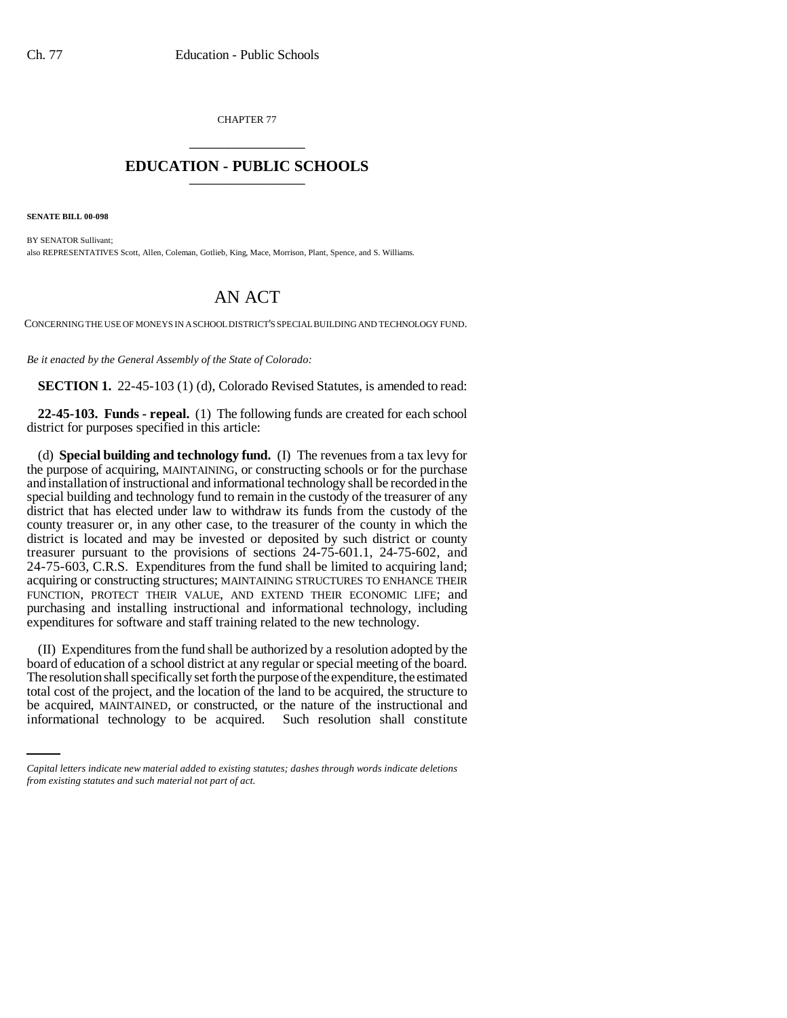CHAPTER 77 \_\_\_\_\_\_\_\_\_\_\_\_\_\_\_

## **EDUCATION - PUBLIC SCHOOLS** \_\_\_\_\_\_\_\_\_\_\_\_\_\_\_

**SENATE BILL 00-098** 

BY SENATOR Sullivant; also REPRESENTATIVES Scott, Allen, Coleman, Gotlieb, King, Mace, Morrison, Plant, Spence, and S. Williams.

## AN ACT

CONCERNING THE USE OF MONEYS IN A SCHOOL DISTRICT'S SPECIAL BUILDING AND TECHNOLOGY FUND.

*Be it enacted by the General Assembly of the State of Colorado:*

**SECTION 1.** 22-45-103 (1) (d), Colorado Revised Statutes, is amended to read:

**22-45-103. Funds - repeal.** (1) The following funds are created for each school district for purposes specified in this article:

(d) **Special building and technology fund.** (I) The revenues from a tax levy for the purpose of acquiring, MAINTAINING, or constructing schools or for the purchase and installation of instructional and informational technology shall be recorded in the special building and technology fund to remain in the custody of the treasurer of any district that has elected under law to withdraw its funds from the custody of the county treasurer or, in any other case, to the treasurer of the county in which the district is located and may be invested or deposited by such district or county treasurer pursuant to the provisions of sections 24-75-601.1, 24-75-602, and 24-75-603, C.R.S. Expenditures from the fund shall be limited to acquiring land; acquiring or constructing structures; MAINTAINING STRUCTURES TO ENHANCE THEIR FUNCTION, PROTECT THEIR VALUE, AND EXTEND THEIR ECONOMIC LIFE; and purchasing and installing instructional and informational technology, including expenditures for software and staff training related to the new technology.

total cost of the project, and the location of the land to be acquired, the structure to (II) Expenditures from the fund shall be authorized by a resolution adopted by the board of education of a school district at any regular or special meeting of the board. The resolution shall specifically set forth the purpose of the expenditure, the estimated be acquired, MAINTAINED, or constructed, or the nature of the instructional and informational technology to be acquired. Such resolution shall constitute

*Capital letters indicate new material added to existing statutes; dashes through words indicate deletions from existing statutes and such material not part of act.*